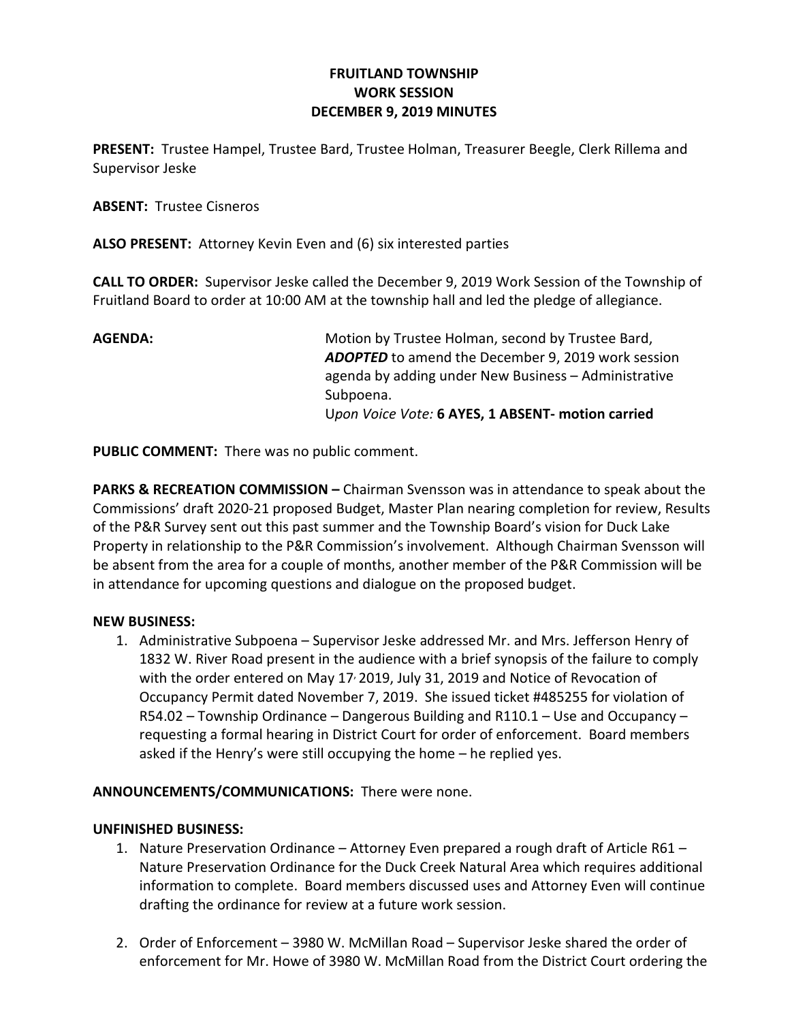# FRUITLAND TOWNSHIP WORK SESSION DECEMBER 9, 2019 MINUTES

PRESENT: Trustee Hampel, Trustee Bard, Trustee Holman, Treasurer Beegle, Clerk Rillema and Supervisor Jeske

ABSENT: Trustee Cisneros

ALSO PRESENT: Attorney Kevin Even and (6) six interested parties

CALL TO ORDER: Supervisor Jeske called the December 9, 2019 Work Session of the Township of Fruitland Board to order at 10:00 AM at the township hall and led the pledge of allegiance.

AGENDA: Motion by Trustee Holman, second by Trustee Bard, ADOPTED to amend the December 9, 2019 work session agenda by adding under New Business – Administrative Subpoena. Upon Voice Vote: 6 AYES, 1 ABSENT- motion carried

PUBLIC COMMENT: There was no public comment.

PARKS & RECREATION COMMISSION - Chairman Svensson was in attendance to speak about the Commissions' draft 2020-21 proposed Budget, Master Plan nearing completion for review, Results of the P&R Survey sent out this past summer and the Township Board's vision for Duck Lake Property in relationship to the P&R Commission's involvement. Although Chairman Svensson will be absent from the area for a couple of months, another member of the P&R Commission will be in attendance for upcoming questions and dialogue on the proposed budget.

## NEW BUSINESS:

1. Administrative Subpoena – Supervisor Jeske addressed Mr. and Mrs. Jefferson Henry of 1832 W. River Road present in the audience with a brief synopsis of the failure to comply with the order entered on May 17 $\cdot$  2019, July 31, 2019 and Notice of Revocation of Occupancy Permit dated November 7, 2019. She issued ticket #485255 for violation of R54.02 – Township Ordinance – Dangerous Building and R110.1 – Use and Occupancy – requesting a formal hearing in District Court for order of enforcement. Board members asked if the Henry's were still occupying the home – he replied yes.

# ANNOUNCEMENTS/COMMUNICATIONS: There were none.

## UNFINISHED BUSINESS:

- 1. Nature Preservation Ordinance Attorney Even prepared a rough draft of Article R61 Nature Preservation Ordinance for the Duck Creek Natural Area which requires additional information to complete. Board members discussed uses and Attorney Even will continue drafting the ordinance for review at a future work session.
- 2. Order of Enforcement 3980 W. McMillan Road Supervisor Jeske shared the order of enforcement for Mr. Howe of 3980 W. McMillan Road from the District Court ordering the